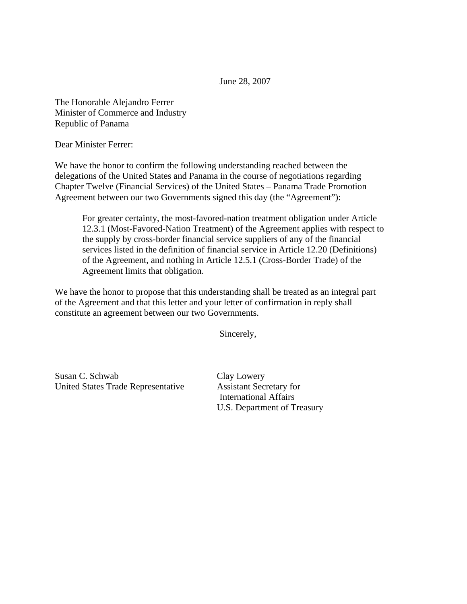June 28, 2007

The Honorable Alejandro Ferrer Minister of Commerce and Industry Republic of Panama

Dear Minister Ferrer:

We have the honor to confirm the following understanding reached between the delegations of the United States and Panama in the course of negotiations regarding Chapter Twelve (Financial Services) of the United States – Panama Trade Promotion Agreement between our two Governments signed this day (the "Agreement"):

For greater certainty, the most-favored-nation treatment obligation under Article 12.3.1 (Most-Favored-Nation Treatment) of the Agreement applies with respect to the supply by cross-border financial service suppliers of any of the financial services listed in the definition of financial service in Article 12.20 (Definitions) of the Agreement, and nothing in Article 12.5.1 (Cross-Border Trade) of the Agreement limits that obligation.

We have the honor to propose that this understanding shall be treated as an integral part of the Agreement and that this letter and your letter of confirmation in reply shall constitute an agreement between our two Governments.

Sincerely,

Susan C. Schwab Clay Lowery United States Trade Representative Assistant Secretary for

International Affairs U.S. Department of Treasury